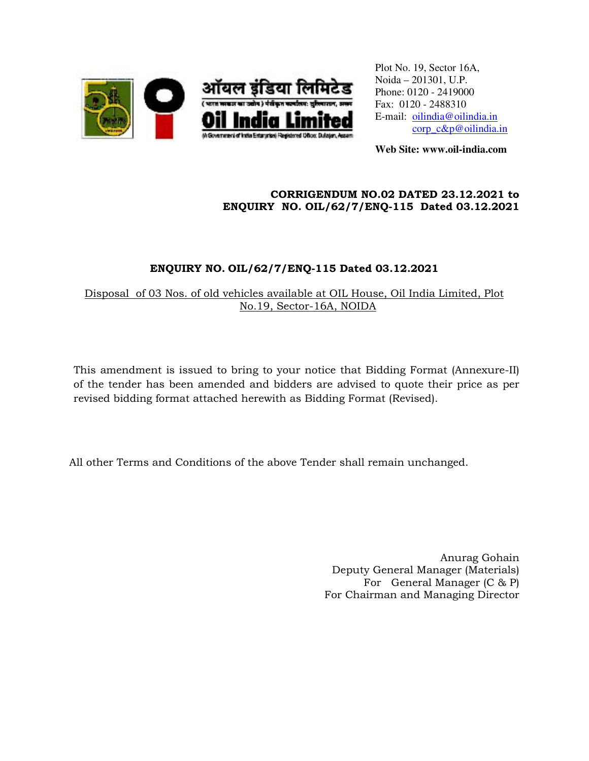

Plot No. 19, Sector 16A, Noida – 201301, U.P. Phone: 0120 - 2419000 Fax: 0120 - 2488310 E-mail: oilindia@oilindia.in corp\_c&p@oilindia.in

**Web Site: www.oil-india.com** 

## CORRIGENDUM NO.02 DATED 23.12.2021 to ENQUIRY NO. OIL/62/7/ENQ-115 Dated 03.12.2021

## ENQUIRY NO. OIL/62/7/ENQ-115 Dated 03.12.2021

Disposal of 03 Nos. of old vehicles available at OIL House, Oil India Limited, Plot No.19, Sector-16A, NOIDA

This amendment is issued to bring to your notice that Bidding Format (Annexure-II) of the tender has been amended and bidders are advised to quote their price as per revised bidding format attached herewith as Bidding Format (Revised).

All other Terms and Conditions of the above Tender shall remain unchanged.

Anurag Gohain Deputy General Manager (Materials) For General Manager (C & P) For Chairman and Managing Director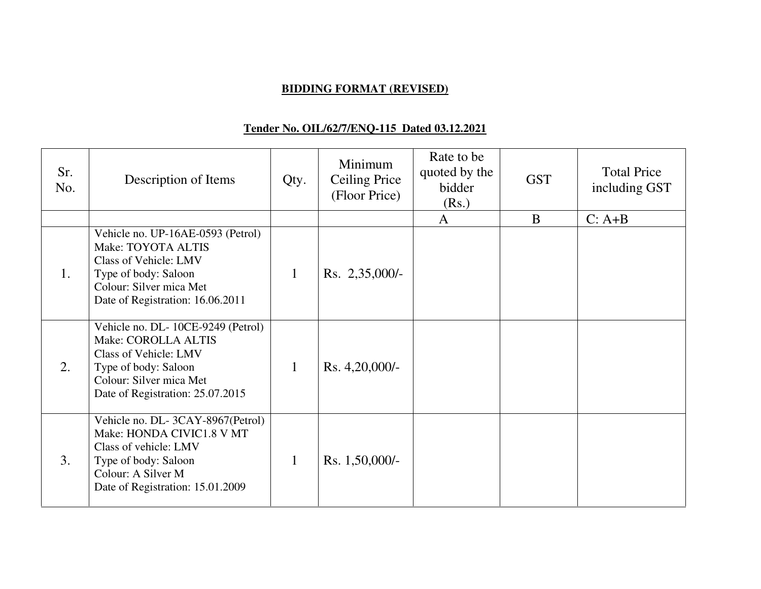## **BIDDING FORMAT (REVISED)**

# **Tender No. OIL/62/7/ENQ-115 Dated 03.12.2021**

| Sr.<br>No. | Description of Items                                                                                                                                                     | Qty.         | Minimum<br>Ceiling Price<br>(Floor Price) | Rate to be<br>quoted by the<br>bidder<br>(Rs.) | <b>GST</b> | <b>Total Price</b><br>including GST |
|------------|--------------------------------------------------------------------------------------------------------------------------------------------------------------------------|--------------|-------------------------------------------|------------------------------------------------|------------|-------------------------------------|
|            |                                                                                                                                                                          |              |                                           | $\mathbf{A}$                                   | B          | $C: A+B$                            |
| 1.         | Vehicle no. UP-16AE-0593 (Petrol)<br>Make: TOYOTA ALTIS<br>Class of Vehicle: LMV<br>Type of body: Saloon<br>Colour: Silver mica Met<br>Date of Registration: 16.06.2011  | $\mathbf{1}$ | Rs. 2,35,000/-                            |                                                |            |                                     |
| 2.         | Vehicle no. DL-10CE-9249 (Petrol)<br>Make: COROLLA ALTIS<br>Class of Vehicle: LMV<br>Type of body: Saloon<br>Colour: Silver mica Met<br>Date of Registration: 25.07.2015 | $\mathbf{1}$ | Rs. 4,20,000/-                            |                                                |            |                                     |
| 3.         | Vehicle no. DL-3CAY-8967(Petrol)<br>Make: HONDA CIVIC1.8 V MT<br>Class of vehicle: LMV<br>Type of body: Saloon<br>Colour: A Silver M<br>Date of Registration: 15.01.2009 | $\mathbf{1}$ | Rs. 1,50,000/-                            |                                                |            |                                     |